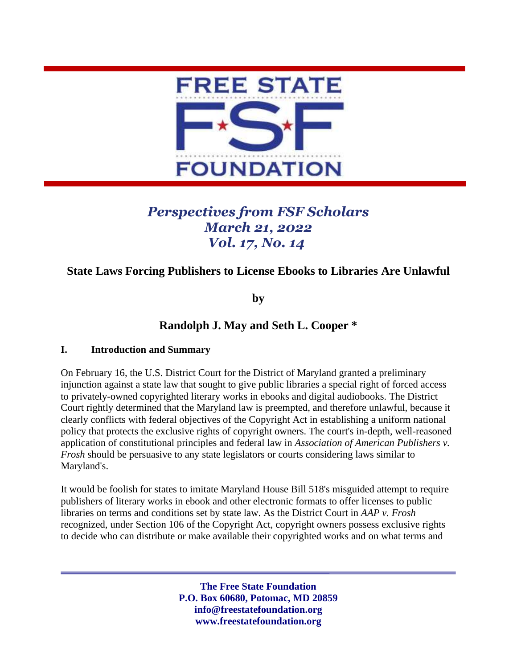

# *Perspectives from FSF Scholars March 21, 2022 Vol. 17, No. 14*

## **State Laws Forcing Publishers to License Ebooks to Libraries Are Unlawful**

**by**

## **Randolph J. May and Seth L. Cooper \***

#### **I. Introduction and Summary**

On February 16, the U.S. District Court for the District of Maryland granted a preliminary injunction against a state law that sought to give public libraries a special right of forced access to privately-owned copyrighted literary works in ebooks and digital audiobooks. The District Court rightly determined that the Maryland law is preempted, and therefore unlawful, because it clearly conflicts with federal objectives of the Copyright Act in establishing a uniform national policy that protects the exclusive rights of copyright owners. The court's in-depth, well-reasoned application of constitutional principles and federal law in *Association of American Publishers v. Frosh* should be persuasive to any state legislators or courts considering laws similar to Maryland's.

It would be foolish for states to imitate Maryland House Bill 518's misguided attempt to require publishers of literary works in ebook and other electronic formats to offer licenses to public libraries on terms and conditions set by state law. As the District Court in *AAP v. Frosh* recognized, under Section 106 of the Copyright Act, copyright owners possess exclusive rights to decide who can distribute or make available their copyrighted works and on what terms and

> **The Free State Foundation P.O. Box 60680, Potomac, MD 20859 info@freestatefoundation.org www.freestatefoundation.org**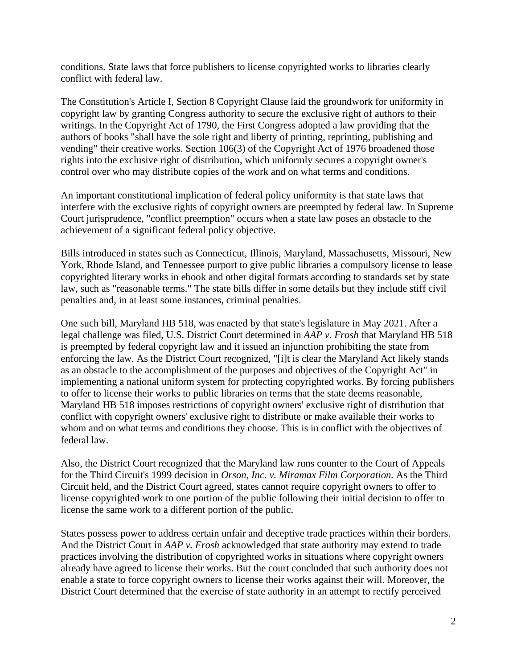conditions. State laws that force publishers to license copyrighted works to libraries clearly conflict with federal law.

The Constitution's Article I, Section 8 Copyright Clause laid the groundwork for uniformity in copyright law by granting Congress authority to secure the exclusive right of authors to their writings. In the Copyright Act of 1790, the First Congress adopted a law providing that the authors of books "shall have the sole right and liberty of printing, reprinting, publishing and vending" their creative works. Section 106(3) of the Copyright Act of 1976 broadened those rights into the exclusive right of distribution, which uniformly secures a copyright owner's control over who may distribute copies of the work and on what terms and conditions.

An important constitutional implication of federal policy uniformity is that state laws that interfere with the exclusive rights of copyright owners are preempted by federal law. In Supreme Court jurisprudence, "conflict preemption" occurs when a state law poses an obstacle to the achievement of a significant federal policy objective.

Bills introduced in states such as Connecticut, Illinois, Maryland, Massachusetts, Missouri, New York, Rhode Island, and Tennessee purport to give public libraries a compulsory license to lease copyrighted literary works in ebook and other digital formats according to standards set by state law, such as "reasonable terms." The state bills differ in some details but they include stiff civil penalties and, in at least some instances, criminal penalties.

One such bill, Maryland HB 518, was enacted by that state's legislature in May 2021. After a legal challenge was filed, U.S. District Court determined in *AAP v. Frosh* that Maryland HB 518 is preempted by federal copyright law and it issued an injunction prohibiting the state from enforcing the law. As the District Court recognized, "[i]t is clear the Maryland Act likely stands as an obstacle to the accomplishment of the purposes and objectives of the Copyright Act" in implementing a national uniform system for protecting copyrighted works. By forcing publishers to offer to license their works to public libraries on terms that the state deems reasonable, Maryland HB 518 imposes restrictions of copyright owners' exclusive right of distribution that conflict with copyright owners' exclusive right to distribute or make available their works to whom and on what terms and conditions they choose. This is in conflict with the objectives of federal law.

Also, the District Court recognized that the Maryland law runs counter to the Court of Appeals for the Third Circuit's 1999 decision in *Orson, Inc. v. Miramax Film Corporation.* As the Third Circuit held, and the District Court agreed, states cannot require copyright owners to offer to license copyrighted work to one portion of the public following their initial decision to offer to license the same work to a different portion of the public.

States possess power to address certain unfair and deceptive trade practices within their borders. And the District Court in *AAP v. Frosh* acknowledged that state authority may extend to trade practices involving the distribution of copyrighted works in situations where copyright owners already have agreed to license their works. But the court concluded that such authority does not enable a state to force copyright owners to license their works against their will. Moreover, the District Court determined that the exercise of state authority in an attempt to rectify perceived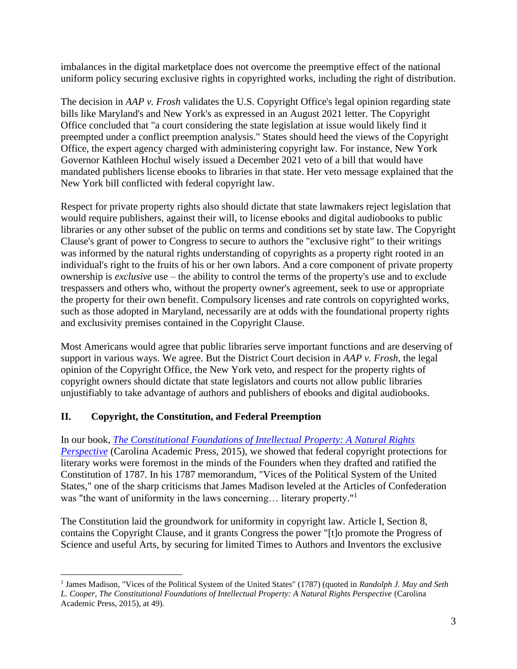imbalances in the digital marketplace does not overcome the preemptive effect of the national uniform policy securing exclusive rights in copyrighted works, including the right of distribution.

The decision in *AAP v. Frosh* validates the U.S. Copyright Office's legal opinion regarding state bills like Maryland's and New York's as expressed in an August 2021 letter. The Copyright Office concluded that "a court considering the state legislation at issue would likely find it preempted under a conflict preemption analysis." States should heed the views of the Copyright Office, the expert agency charged with administering copyright law. For instance, New York Governor Kathleen Hochul wisely issued a December 2021 veto of a bill that would have mandated publishers license ebooks to libraries in that state. Her veto message explained that the New York bill conflicted with federal copyright law.

Respect for private property rights also should dictate that state lawmakers reject legislation that would require publishers, against their will, to license ebooks and digital audiobooks to public libraries or any other subset of the public on terms and conditions set by state law. The Copyright Clause's grant of power to Congress to secure to authors the "exclusive right" to their writings was informed by the natural rights understanding of copyrights as a property right rooted in an individual's right to the fruits of his or her own labors. And a core component of private property ownership is *exclusive* use – the ability to control the terms of the property's use and to exclude trespassers and others who, without the property owner's agreement, seek to use or appropriate the property for their own benefit. Compulsory licenses and rate controls on copyrighted works, such as those adopted in Maryland, necessarily are at odds with the foundational property rights and exclusivity premises contained in the Copyright Clause.

Most Americans would agree that public libraries serve important functions and are deserving of support in various ways. We agree. But the District Court decision in *AAP v. Frosh*, the legal opinion of the Copyright Office, the New York veto, and respect for the property rights of copyright owners should dictate that state legislators and courts not allow public libraries unjustifiably to take advantage of authors and publishers of ebooks and digital audiobooks.

## **II. Copyright, the Constitution, and Federal Preemption**

In our book, *[The Constitutional Foundations of Intellectual Property: A Natural Rights](https://cap-press.com/books/isbn/9781611637090/The-Constitutional-Foundations-of-Intellectual-Property)  [Perspective](https://cap-press.com/books/isbn/9781611637090/The-Constitutional-Foundations-of-Intellectual-Property)* (Carolina Academic Press, 2015), we showed that federal copyright protections for literary works were foremost in the minds of the Founders when they drafted and ratified the Constitution of 1787. In his 1787 memorandum, "Vices of the Political System of the United States," one of the sharp criticisms that James Madison leveled at the Articles of Confederation was "the want of uniformity in the laws concerning... literary property."<sup>1</sup>

The Constitution laid the groundwork for uniformity in copyright law. Article I, Section 8, contains the Copyright Clause, and it grants Congress the power "[t]o promote the Progress of Science and useful Arts, by securing for limited Times to Authors and Inventors the exclusive

<sup>&</sup>lt;sup>1</sup> James Madison, "Vices of the Political System of the United States" (1787) (quoted in *Randolph J. May and Seth L. Cooper, The Constitutional Foundations of Intellectual Property: A Natural Rights Perspective* (Carolina Academic Press, 2015), at 49).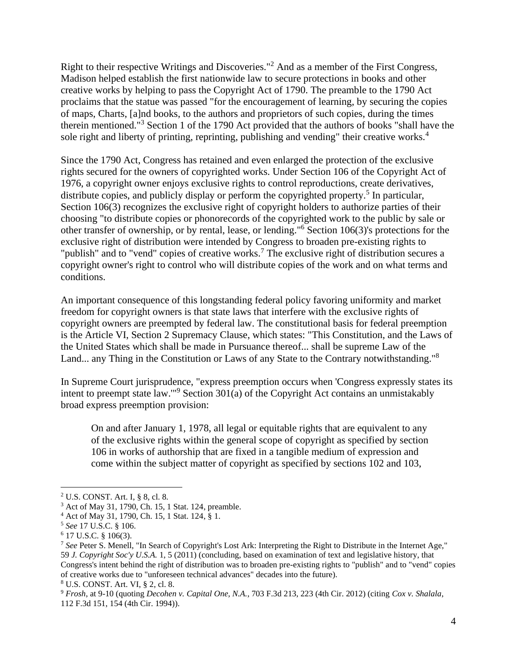Right to their respective Writings and Discoveries."<sup>2</sup> And as a member of the First Congress, Madison helped establish the first nationwide law to secure protections in books and other creative works by helping to pass the Copyright Act of 1790. The preamble to the 1790 Act proclaims that the statue was passed "for the encouragement of learning, by securing the copies of maps, Charts, [a]nd books, to the authors and proprietors of such copies, during the times therein mentioned."<sup>3</sup> Section 1 of the 1790 Act provided that the authors of books "shall have the sole right and liberty of printing, reprinting, publishing and vending" their creative works.<sup>4</sup>

Since the 1790 Act, Congress has retained and even enlarged the protection of the exclusive rights secured for the owners of copyrighted works. Under Section 106 of the Copyright Act of 1976, a copyright owner enjoys exclusive rights to control reproductions, create derivatives, distribute copies, and publicly display or perform the copyrighted property.<sup>5</sup> In particular, Section 106(3) recognizes the exclusive right of copyright holders to authorize parties of their choosing "to distribute copies or phonorecords of the copyrighted work to the public by sale or other transfer of ownership, or by rental, lease, or lending." <sup>6</sup> Section 106(3)'s protections for the exclusive right of distribution were intended by Congress to broaden pre-existing rights to "publish" and to "vend" copies of creative works.<sup>7</sup> The exclusive right of distribution secures a copyright owner's right to control who will distribute copies of the work and on what terms and conditions.

An important consequence of this longstanding federal policy favoring uniformity and market freedom for copyright owners is that state laws that interfere with the exclusive rights of copyright owners are preempted by federal law. The constitutional basis for federal preemption is the Article VI, Section 2 Supremacy Clause, which states: "This Constitution, and the Laws of the United States which shall be made in Pursuance thereof... shall be supreme Law of the Land... any Thing in the Constitution or Laws of any State to the Contrary notwithstanding."<sup>8</sup>

In Supreme Court jurisprudence, "express preemption occurs when 'Congress expressly states its intent to preempt state law.'"<sup>9</sup> Section 301(a) of the Copyright Act contains an unmistakably broad express preemption provision:

On and after January 1, 1978, all legal or equitable rights that are equivalent to any of the exclusive rights within the general scope of copyright as specified by section 106 in works of authorship that are fixed in a tangible medium of expression and come within the subject matter of copyright as specified by sections 102 and 103,

<sup>2</sup> U.S. CONST. Art. I, § 8, cl. 8.

<sup>3</sup> Act of May 31, 1790, Ch. 15, 1 Stat. 124, preamble.

<sup>4</sup> Act of May 31, 1790, Ch. 15, 1 Stat. 124, § 1.

<sup>5</sup> *See* 17 U.S.C. § 106.

<sup>6</sup> 17 U.S.C. § 106(3).

<sup>7</sup> *See* Peter S. Menell, "In Search of Copyright's Lost Ark: Interpreting the Right to Distribute in the Internet Age," 59 *J. Copyright Soc'y U.S.A.* 1, 5 (2011) (concluding, based on examination of text and legislative history, that Congress's intent behind the right of distribution was to broaden pre-existing rights to "publish" and to "vend" copies of creative works due to "unforeseen technical advances" decades into the future).

<sup>8</sup> U.S. CONST. Art. VI, § 2, cl. 8.

<sup>9</sup> *Frosh*, at 9-10 (quoting *Decohen v. Capital One, N.A.*, 703 F.3d 213, 223 (4th Cir. 2012) (citing *Cox v. Shalala*, 112 F.3d 151, 154 (4th Cir. 1994)).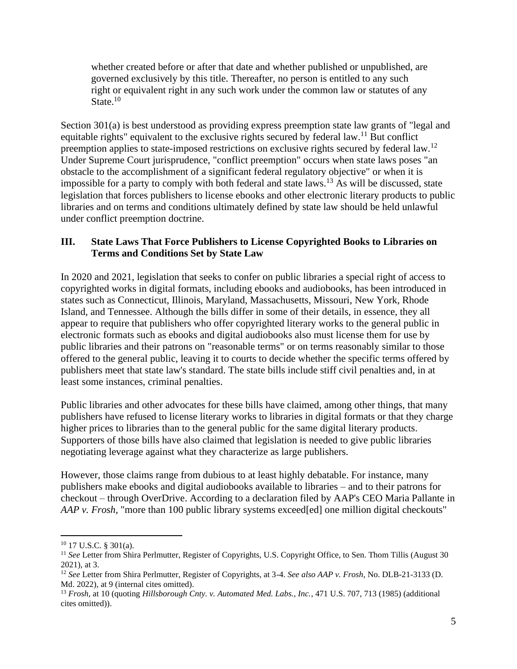whether created before or after that date and whether published or unpublished, are governed exclusively by this title. Thereafter, no person is entitled to any such right or equivalent right in any such work under the common law or statutes of any State.<sup>10</sup>

Section 301(a) is best understood as providing express preemption state law grants of "legal and equitable rights" equivalent to the exclusive rights secured by federal law.<sup>11</sup> But conflict preemption applies to state-imposed restrictions on exclusive rights secured by federal law.<sup>12</sup> Under Supreme Court jurisprudence, "conflict preemption" occurs when state laws poses "an obstacle to the accomplishment of a significant federal regulatory objective" or when it is impossible for a party to comply with both federal and state laws.<sup>13</sup> As will be discussed, state legislation that forces publishers to license ebooks and other electronic literary products to public libraries and on terms and conditions ultimately defined by state law should be held unlawful under conflict preemption doctrine.

#### **III. State Laws That Force Publishers to License Copyrighted Books to Libraries on Terms and Conditions Set by State Law**

In 2020 and 2021, legislation that seeks to confer on public libraries a special right of access to copyrighted works in digital formats, including ebooks and audiobooks, has been introduced in states such as Connecticut, Illinois, Maryland, Massachusetts, Missouri, New York, Rhode Island, and Tennessee. Although the bills differ in some of their details, in essence, they all appear to require that publishers who offer copyrighted literary works to the general public in electronic formats such as ebooks and digital audiobooks also must license them for use by public libraries and their patrons on "reasonable terms" or on terms reasonably similar to those offered to the general public, leaving it to courts to decide whether the specific terms offered by publishers meet that state law's standard. The state bills include stiff civil penalties and, in at least some instances, criminal penalties.

Public libraries and other advocates for these bills have claimed, among other things, that many publishers have refused to license literary works to libraries in digital formats or that they charge higher prices to libraries than to the general public for the same digital literary products. Supporters of those bills have also claimed that legislation is needed to give public libraries negotiating leverage against what they characterize as large publishers.

However, those claims range from dubious to at least highly debatable. For instance, many publishers make ebooks and digital audiobooks available to libraries – and to their patrons for checkout – through OverDrive. According to a declaration filed by AAP's CEO Maria Pallante in *AAP v. Frosh,* "more than 100 public library systems exceed[ed] one million digital checkouts"

 $10$  17 U.S.C. § 301(a).

<sup>&</sup>lt;sup>11</sup> See Letter from Shira Perlmutter, Register of Copyrights, U.S. Copyright Office, to Sen. Thom Tillis (August 30 2021), at 3.

<sup>12</sup> *See* Letter from Shira Perlmutter, Register of Copyrights, at 3-4. *See also AAP v. Frosh*, No. DLB-21-3133 (D. Md. 2022), at 9 (internal cites omitted).

<sup>13</sup> *Frosh*, at 10 (quoting *Hillsborough Cnty. v. Automated Med. Labs., Inc.*, 471 U.S. 707, 713 (1985) (additional cites omitted)).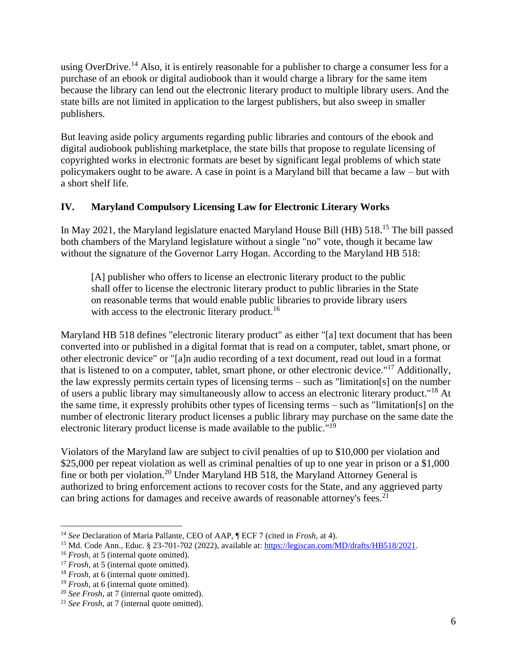using OverDrive.<sup>14</sup> Also, it is entirely reasonable for a publisher to charge a consumer less for a purchase of an ebook or digital audiobook than it would charge a library for the same item because the library can lend out the electronic literary product to multiple library users. And the state bills are not limited in application to the largest publishers, but also sweep in smaller publishers.

But leaving aside policy arguments regarding public libraries and contours of the ebook and digital audiobook publishing marketplace, the state bills that propose to regulate licensing of copyrighted works in electronic formats are beset by significant legal problems of which state policymakers ought to be aware. A case in point is a Maryland bill that became a law – but with a short shelf life.

#### **IV. Maryland Compulsory Licensing Law for Electronic Literary Works**

In May 2021, the Maryland legislature enacted Maryland House Bill (HB) 518.<sup>15</sup> The bill passed both chambers of the Maryland legislature without a single "no" vote, though it became law without the signature of the Governor Larry Hogan. According to the Maryland HB 518:

[A] publisher who offers to license an electronic literary product to the public shall offer to license the electronic literary product to public libraries in the State on reasonable terms that would enable public libraries to provide library users with access to the electronic literary product.<sup>16</sup>

Maryland HB 518 defines "electronic literary product" as either "[a] text document that has been converted into or published in a digital format that is read on a computer, tablet, smart phone, or other electronic device" or "[a]n audio recording of a text document, read out loud in a format that is listened to on a computer, tablet, smart phone, or other electronic device."<sup>17</sup> Additionally, the law expressly permits certain types of licensing terms – such as "limitation[s] on the number of users a public library may simultaneously allow to access an electronic literary product."<sup>18</sup> At the same time, it expressly prohibits other types of licensing terms – such as "limitation[s] on the number of electronic literary product licenses a public library may purchase on the same date the electronic literary product license is made available to the public."<sup>19</sup>

Violators of the Maryland law are subject to civil penalties of up to \$10,000 per violation and \$25,000 per repeat violation as well as criminal penalties of up to one year in prison or a \$1,000 fine or both per violation.<sup>20</sup> Under Maryland HB 518, the Maryland Attorney General is authorized to bring enforcement actions to recover costs for the State, and any aggrieved party can bring actions for damages and receive awards of reasonable attorney's fees.<sup>21</sup>

<sup>14</sup> *See* Declaration of Maria Pallante, CEO of AAP, ¶ ECF 7 (cited in *Frosh*, at 4).

<sup>15</sup> Md. Code Ann., Educ. § 23-701-702 (2022), available at: [https://legiscan.com/MD/drafts/HB518/2021.](https://legiscan.com/MD/drafts/HB518/2021) 

<sup>&</sup>lt;sup>16</sup> *Frosh*, at 5 (internal quote omitted).

<sup>&</sup>lt;sup>17</sup> *Frosh*, at 5 (internal quote omitted).

<sup>&</sup>lt;sup>18</sup> *Frosh*, at 6 (internal quote omitted).

<sup>&</sup>lt;sup>19</sup> *Frosh*, at 6 (internal quote omitted).

<sup>20</sup> *See Frosh*, at 7 (internal quote omitted).

<sup>21</sup> *See Frosh*, at 7 (internal quote omitted).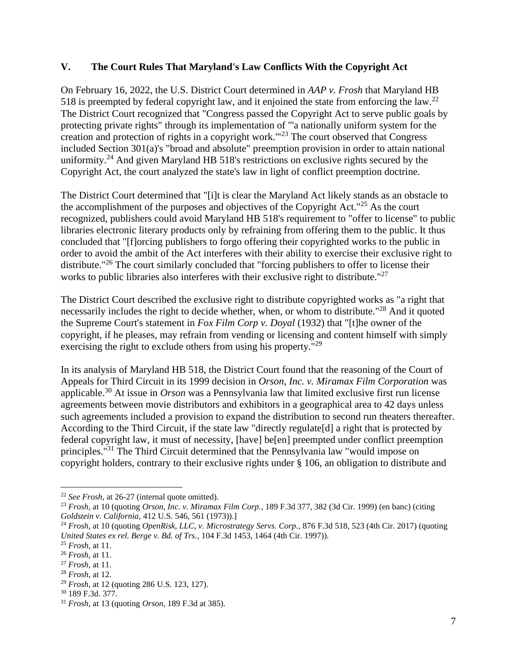#### **V. The Court Rules That Maryland's Law Conflicts With the Copyright Act**

On February 16, 2022, the U.S. District Court determined in *AAP v. Frosh* that Maryland HB 518 is preempted by federal copyright law, and it enjoined the state from enforcing the law.<sup>22</sup> The District Court recognized that "Congress passed the Copyright Act to serve public goals by protecting private rights" through its implementation of "'a nationally uniform system for the creation and protection of rights in a copyright work."<sup>23</sup> The court observed that Congress included Section 301(a)'s "broad and absolute" preemption provision in order to attain national uniformity.<sup>24</sup> And given Maryland HB 518's restrictions on exclusive rights secured by the Copyright Act, the court analyzed the state's law in light of conflict preemption doctrine.

The District Court determined that "[i]t is clear the Maryland Act likely stands as an obstacle to the accomplishment of the purposes and objectives of the Copyright Act."<sup>25</sup> As the court recognized, publishers could avoid Maryland HB 518's requirement to "offer to license" to public libraries electronic literary products only by refraining from offering them to the public. It thus concluded that "[f]orcing publishers to forgo offering their copyrighted works to the public in order to avoid the ambit of the Act interferes with their ability to exercise their exclusive right to distribute."<sup>26</sup> The court similarly concluded that "forcing publishers to offer to license their works to public libraries also interferes with their exclusive right to distribute."<sup>27</sup>

The District Court described the exclusive right to distribute copyrighted works as "a right that necessarily includes the right to decide whether, when, or whom to distribute."<sup>28</sup> And it quoted the Supreme Court's statement in *Fox Film Corp v. Doyal* (1932) that "[t]he owner of the copyright, if he pleases, may refrain from vending or licensing and content himself with simply exercising the right to exclude others from using his property."<sup>29</sup>

In its analysis of Maryland HB 518, the District Court found that the reasoning of the Court of Appeals for Third Circuit in its 1999 decision in *Orson, Inc. v. Miramax Film Corporation* was applicable.<sup>30</sup> At issue in *Orson* was a Pennsylvania law that limited exclusive first run license agreements between movie distributors and exhibitors in a geographical area to 42 days unless such agreements included a provision to expand the distribution to second run theaters thereafter. According to the Third Circuit, if the state law "directly regulate[d] a right that is protected by federal copyright law, it must of necessity, [have] be[en] preempted under conflict preemption principles."<sup>31</sup> The Third Circuit determined that the Pennsylvania law "would impose on copyright holders, contrary to their exclusive rights under § 106, an obligation to distribute and

<sup>22</sup> *See Frosh*, at 26-27 (internal quote omitted).

<sup>23</sup> *Frosh*, at 10 (quoting *Orson, Inc. v. Miramax Film Corp.*, 189 F.3d 377, 382 (3d Cir. 1999) (en banc) (citing *Goldstein v. California*, 412 U.S. 546, 561 (1973)).]

<sup>24</sup> *Frosh*, at 10 (quoting *OpenRisk, LLC, v. Microstrategy Servs. Corp.*, 876 F.3d 518, 523 (4th Cir. 2017) (quoting *United States ex rel. Berge v. Bd. of Trs.*, 104 F.3d 1453, 1464 (4th Cir. 1997)).

<sup>25</sup> *Frosh*, at 11.

<sup>26</sup> *Frosh*, at 11.

<sup>27</sup> *Frosh*, at 11.

<sup>28</sup> *Frosh*, at 12.

<sup>29</sup> *Frosh*, at 12 (quoting 286 U.S. 123, 127).

<sup>30</sup> 189 F.3d. 377.

<sup>31</sup> *Frosh*, at 13 (quoting *Orson*, 189 F.3d at 385).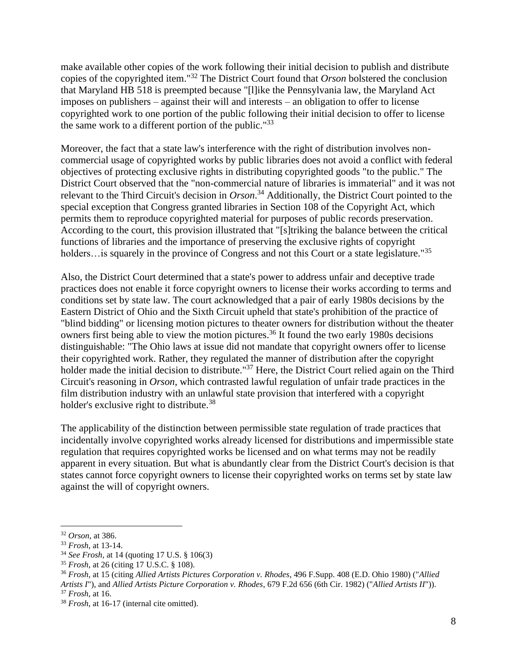make available other copies of the work following their initial decision to publish and distribute copies of the copyrighted item."<sup>32</sup> The District Court found that *Orson* bolstered the conclusion that Maryland HB 518 is preempted because "[l]ike the Pennsylvania law, the Maryland Act imposes on publishers – against their will and interests – an obligation to offer to license copyrighted work to one portion of the public following their initial decision to offer to license the same work to a different portion of the public."<sup>33</sup>

Moreover, the fact that a state law's interference with the right of distribution involves noncommercial usage of copyrighted works by public libraries does not avoid a conflict with federal objectives of protecting exclusive rights in distributing copyrighted goods "to the public." The District Court observed that the "non-commercial nature of libraries is immaterial" and it was not relevant to the Third Circuit's decision in *Orson*. <sup>34</sup> Additionally, the District Court pointed to the special exception that Congress granted libraries in Section 108 of the Copyright Act, which permits them to reproduce copyrighted material for purposes of public records preservation. According to the court, this provision illustrated that "[s]triking the balance between the critical functions of libraries and the importance of preserving the exclusive rights of copyright holders…is squarely in the province of Congress and not this Court or a state legislature."<sup>35</sup>

Also, the District Court determined that a state's power to address unfair and deceptive trade practices does not enable it force copyright owners to license their works according to terms and conditions set by state law. The court acknowledged that a pair of early 1980s decisions by the Eastern District of Ohio and the Sixth Circuit upheld that state's prohibition of the practice of "blind bidding" or licensing motion pictures to theater owners for distribution without the theater owners first being able to view the motion pictures.<sup>36</sup> It found the two early 1980s decisions distinguishable: "The Ohio laws at issue did not mandate that copyright owners offer to license their copyrighted work. Rather, they regulated the manner of distribution after the copyright holder made the initial decision to distribute."<sup>37</sup> Here, the District Court relied again on the Third Circuit's reasoning in *Orson*, which contrasted lawful regulation of unfair trade practices in the film distribution industry with an unlawful state provision that interfered with a copyright holder's exclusive right to distribute.<sup>38</sup>

The applicability of the distinction between permissible state regulation of trade practices that incidentally involve copyrighted works already licensed for distributions and impermissible state regulation that requires copyrighted works be licensed and on what terms may not be readily apparent in every situation. But what is abundantly clear from the District Court's decision is that states cannot force copyright owners to license their copyrighted works on terms set by state law against the will of copyright owners.

<sup>32</sup> *Orson*, at 386.

<sup>33</sup> *Frosh*, at 13-14.

<sup>34</sup> *See Frosh*, at 14 (quoting 17 U.S. § 106(3)

<sup>35</sup> *Frosh*, at 26 (citing 17 U.S.C. § 108).

<sup>36</sup> *Frosh*, at 15 (citing *Allied Artists Pictures Corporation v. Rhodes*, 496 F.Supp. 408 (E.D. Ohio 1980) ("*Allied Artists I*"), and *Allied Artists Picture Corporation v. Rhodes*, 679 F.2d 656 (6th Cir. 1982) ("*Allied Artists II*")).

<sup>37</sup> *Frosh*, at 16.

<sup>38</sup> *Frosh*, at 16-17 (internal cite omitted).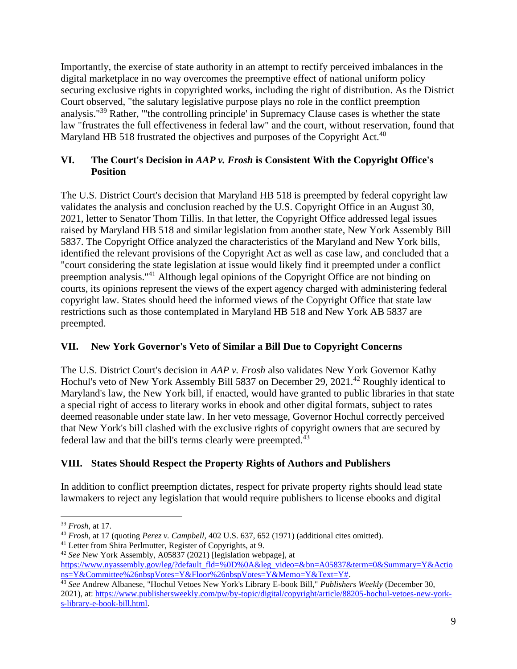Importantly, the exercise of state authority in an attempt to rectify perceived imbalances in the digital marketplace in no way overcomes the preemptive effect of national uniform policy securing exclusive rights in copyrighted works, including the right of distribution. As the District Court observed, "the salutary legislative purpose plays no role in the conflict preemption analysis."<sup>39</sup> Rather, "'the controlling principle' in Supremacy Clause cases is whether the state law "frustrates the full effectiveness in federal law" and the court, without reservation, found that Maryland HB 518 frustrated the objectives and purposes of the Copyright Act.<sup>40</sup>

### **VI. The Court's Decision in** *AAP v. Frosh* **is Consistent With the Copyright Office's Position**

The U.S. District Court's decision that Maryland HB 518 is preempted by federal copyright law validates the analysis and conclusion reached by the U.S. Copyright Office in an August 30, 2021, letter to Senator Thom Tillis. In that letter, the Copyright Office addressed legal issues raised by Maryland HB 518 and similar legislation from another state, New York Assembly Bill 5837. The Copyright Office analyzed the characteristics of the Maryland and New York bills, identified the relevant provisions of the Copyright Act as well as case law, and concluded that a "court considering the state legislation at issue would likely find it preempted under a conflict preemption analysis."<sup>41</sup> Although legal opinions of the Copyright Office are not binding on courts, its opinions represent the views of the expert agency charged with administering federal copyright law. States should heed the informed views of the Copyright Office that state law restrictions such as those contemplated in Maryland HB 518 and New York AB 5837 are preempted.

## **VII. New York Governor's Veto of Similar a Bill Due to Copyright Concerns**

The U.S. District Court's decision in *AAP v. Frosh* also validates New York Governor Kathy Hochul's veto of New York Assembly Bill 5837 on December 29, 2021.<sup>42</sup> Roughly identical to Maryland's law, the New York bill, if enacted, would have granted to public libraries in that state a special right of access to literary works in ebook and other digital formats, subject to rates deemed reasonable under state law. In her veto message, Governor Hochul correctly perceived that New York's bill clashed with the exclusive rights of copyright owners that are secured by federal law and that the bill's terms clearly were preempted.<sup>43</sup>

## **VIII. States Should Respect the Property Rights of Authors and Publishers**

In addition to conflict preemption dictates, respect for private property rights should lead state lawmakers to reject any legislation that would require publishers to license ebooks and digital

<sup>39</sup> *Frosh*, at 17.

<sup>40</sup> *Frosh*, at 17 (quoting *Perez v. Campbell*, 402 U.S. 637, 652 (1971) (additional cites omitted).

<sup>&</sup>lt;sup>41</sup> Letter from Shira Perlmutter, Register of Copyrights, at 9.

<sup>42</sup> *See* New York Assembly, A05837 (2021) [legislation webpage], at

[https://www.nyassembly.gov/leg/?default\\_fld=%0D%0A&leg\\_video=&bn=A05837&term=0&Summary=Y&Actio](https://www.nyassembly.gov/leg/?default_fld=%0D%0A&leg_video=&bn=A05837&term=0&Summary=Y&Actions=Y&Committee%26nbspVotes=Y&Floor%26nbspVotes=Y&Memo=Y&Text=Y) [ns=Y&Committee%26nbspVotes=Y&Floor%26nbspVotes=Y&Memo=Y&Text=Y#.](https://www.nyassembly.gov/leg/?default_fld=%0D%0A&leg_video=&bn=A05837&term=0&Summary=Y&Actions=Y&Committee%26nbspVotes=Y&Floor%26nbspVotes=Y&Memo=Y&Text=Y)

<sup>43</sup> *See* Andrew Albanese, "Hochul Vetoes New York's Library E-book Bill," *Publishers Weekly* (December 30, 2021), at: [https://www.publishersweekly.com/pw/by-topic/digital/copyright/article/88205-hochul-vetoes-new-york](https://www.publishersweekly.com/pw/by-topic/digital/copyright/article/88205-hochul-vetoes-new-york-s-library-e-book-bill.html)[s-library-e-book-bill.html.](https://www.publishersweekly.com/pw/by-topic/digital/copyright/article/88205-hochul-vetoes-new-york-s-library-e-book-bill.html)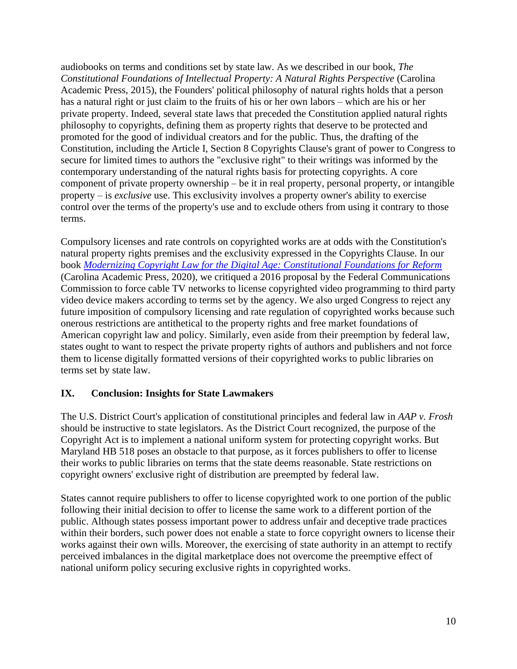audiobooks on terms and conditions set by state law. As we described in our book, *The Constitutional Foundations of Intellectual Property: A Natural Rights Perspective* (Carolina Academic Press, 2015), the Founders' political philosophy of natural rights holds that a person has a natural right or just claim to the fruits of his or her own labors – which are his or her private property. Indeed, several state laws that preceded the Constitution applied natural rights philosophy to copyrights, defining them as property rights that deserve to be protected and promoted for the good of individual creators and for the public. Thus, the drafting of the Constitution, including the Article I, Section 8 Copyrights Clause's grant of power to Congress to secure for limited times to authors the "exclusive right" to their writings was informed by the contemporary understanding of the natural rights basis for protecting copyrights. A core component of private property ownership – be it in real property, personal property, or intangible property – is *exclusive* use. This exclusivity involves a property owner's ability to exercise control over the terms of the property's use and to exclude others from using it contrary to those terms.

Compulsory licenses and rate controls on copyrighted works are at odds with the Constitution's natural property rights premises and the exclusivity expressed in the Copyrights Clause. In our book *[Modernizing Copyright Law for the Digital Age: Constitutional Foundations for Reform](https://cap-press.com/books/isbn/9781531016005/Modernizing-Copyright-Law-for-the-Digital-Age)* (Carolina Academic Press, 2020), we critiqued a 2016 proposal by the Federal Communications Commission to force cable TV networks to license copyrighted video programming to third party video device makers according to terms set by the agency. We also urged Congress to reject any future imposition of compulsory licensing and rate regulation of copyrighted works because such onerous restrictions are antithetical to the property rights and free market foundations of American copyright law and policy. Similarly, even aside from their preemption by federal law, states ought to want to respect the private property rights of authors and publishers and not force them to license digitally formatted versions of their copyrighted works to public libraries on terms set by state law.

#### **IX. Conclusion: Insights for State Lawmakers**

The U.S. District Court's application of constitutional principles and federal law in *AAP v. Frosh* should be instructive to state legislators. As the District Court recognized, the purpose of the Copyright Act is to implement a national uniform system for protecting copyright works. But Maryland HB 518 poses an obstacle to that purpose, as it forces publishers to offer to license their works to public libraries on terms that the state deems reasonable. State restrictions on copyright owners' exclusive right of distribution are preempted by federal law.

States cannot require publishers to offer to license copyrighted work to one portion of the public following their initial decision to offer to license the same work to a different portion of the public. Although states possess important power to address unfair and deceptive trade practices within their borders, such power does not enable a state to force copyright owners to license their works against their own wills. Moreover, the exercising of state authority in an attempt to rectify perceived imbalances in the digital marketplace does not overcome the preemptive effect of national uniform policy securing exclusive rights in copyrighted works.